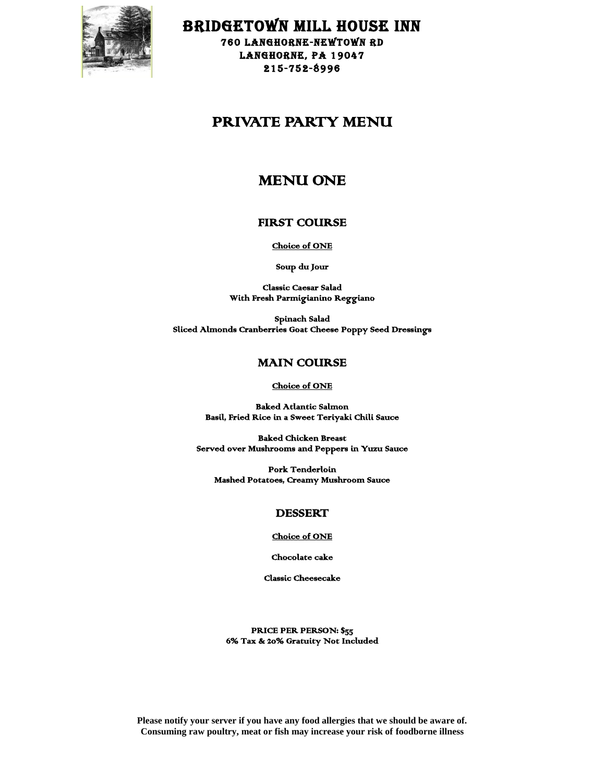

BRIDGETOWN MILL HOUSE INN

760 LANGHORNE-NEWTOWN RD LANGHORNE, PA 19047 215-752-8996

# PRIVATE PARTY MENU

# MENU ONE

## FIRST COURSE

Choice of ONE

Soup du Jour

Classic Caesar Salad With Fresh Parmigianino Reggiano

Spinach Salad Sliced Almonds Cranberries Goat Cheese Poppy Seed Dressings

## MAIN COURSE

Choice of ONE

Baked Atlantic Salmon Basil, Fried Rice in a Sweet Teriyaki Chili Sauce

Baked Chicken Breast Served over Mushrooms and Peppers in Yuzu Sauce

Pork Tenderloin Mashed Potatoes, Creamy Mushroom Sauce

## DESSERT

#### Choice of ONE

Chocolate cake

Classic Cheesecake

PRICE PER PERSON: \$55 6% Tax & 20% Gratuity Not Included

**Please notify your server if you have any food allergies that we should be aware of. Consuming raw poultry, meat or fish may increase your risk of foodborne illness**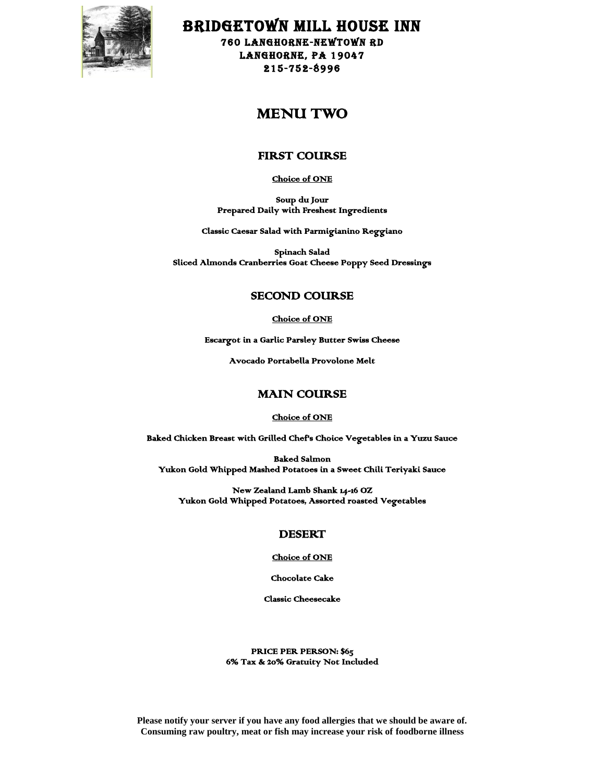

BRIDGETOWN MILL HOUSE INN

760 LANGHORNE-NEWTOWN RD LANGHORNE, PA 19047 215-752-8996

## MENU TWO

## FIRST COURSE

Choice of ONE

Soup du Jour Prepared Daily with Freshest Ingredients

Classic Caesar Salad with Parmigianino Reggiano

Spinach Salad Sliced Almonds Cranberries Goat Cheese Poppy Seed Dressings

## SECOND COURSE

Choice of ONE

Escargot in a Garlic Parsley Butter Swiss Cheese

Avocado Portabella Provolone Melt

### MAIN COURSE

#### Choice of ONE

Baked Chicken Breast with Grilled Chef's Choice Vegetables in a Yuzu Sauce

Baked Salmon Yukon Gold Whipped Mashed Potatoes in a Sweet Chili Teriyaki Sauce

New Zealand Lamb Shank 14-16 OZ Yukon Gold Whipped Potatoes, Assorted roasted Vegetables

## DESERT

#### Choice of ONE

Chocolate Cake

Classic Cheesecake

PRICE PER PERSON: \$65 6% Tax & 20% Gratuity Not Included

**Please notify your server if you have any food allergies that we should be aware of. Consuming raw poultry, meat or fish may increase your risk of foodborne illness**